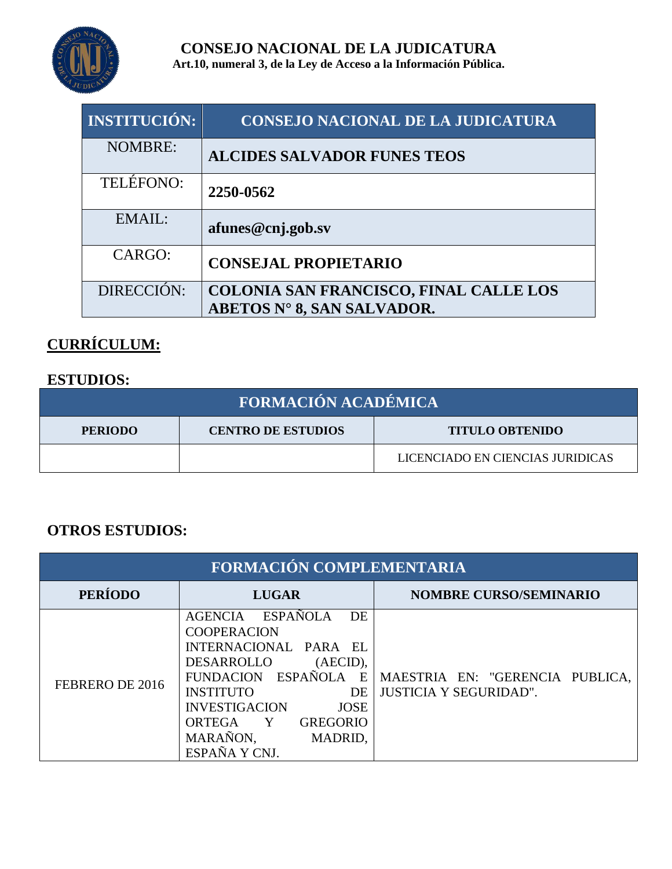

**CONSEJO NACIONAL DE LA JUDICATURA Art.10, numeral 3, de la Ley de Acceso a la Información Pública.**

| <b>INSTITUCIÓN:</b> | <b>CONSEJO NACIONAL DE LA JUDICATURA</b>                                    |
|---------------------|-----------------------------------------------------------------------------|
| <b>NOMBRE:</b>      | <b>ALCIDES SALVADOR FUNES TEOS</b>                                          |
| <b>TELÉFONO:</b>    | 2250-0562                                                                   |
| EMAIL:              | afunes@cnj.gob.sv                                                           |
| CARGO:              | <b>CONSEJAL PROPIETARIO</b>                                                 |
| DIRECCIÓN:          | <b>COLONIA SAN FRANCISCO, FINAL CALLE LOS</b><br>ABETOS N° 8, SAN SALVADOR. |

# **CURRÍCULUM:**

#### **ESTUDIOS:**

| <b>FORMACIÓN ACADÉMICA</b> |                           |                                  |
|----------------------------|---------------------------|----------------------------------|
| <b>PERIODO</b>             | <b>CENTRO DE ESTUDIOS</b> | <b>TITULO OBTENIDO</b>           |
|                            |                           | LICENCIADO EN CIENCIAS JURIDICAS |

#### **OTROS ESTUDIOS:**

| FORMACIÓN COMPLEMENTARIA |                                                                                                                                                                                                                                                                              |                                                                  |
|--------------------------|------------------------------------------------------------------------------------------------------------------------------------------------------------------------------------------------------------------------------------------------------------------------------|------------------------------------------------------------------|
| <b>PERÍODO</b>           | <b>LUGAR</b>                                                                                                                                                                                                                                                                 | <b>NOMBRE CURSO/SEMINARIO</b>                                    |
| FEBRERO DE 2016          | <b>ESPAÑOLA</b><br>DE<br>AGENCIA<br><b>COOPERACION</b><br>INTERNACIONAL PARA EL<br>DESARROLLO<br>$(AECID)$ ,<br>FUNDACION ESPAÑOLA E<br><b>INSTITUTO</b><br>DE<br><b>INVESTIGACION</b><br><b>JOSE</b><br>ORTEGA Y<br><b>GREGORIO</b><br>MARAÑON,<br>MADRID,<br>ESPAÑA Y CNJ. | MAESTRIA EN: "GERENCIA PUBLICA,<br><b>JUSTICIA Y SEGURIDAD".</b> |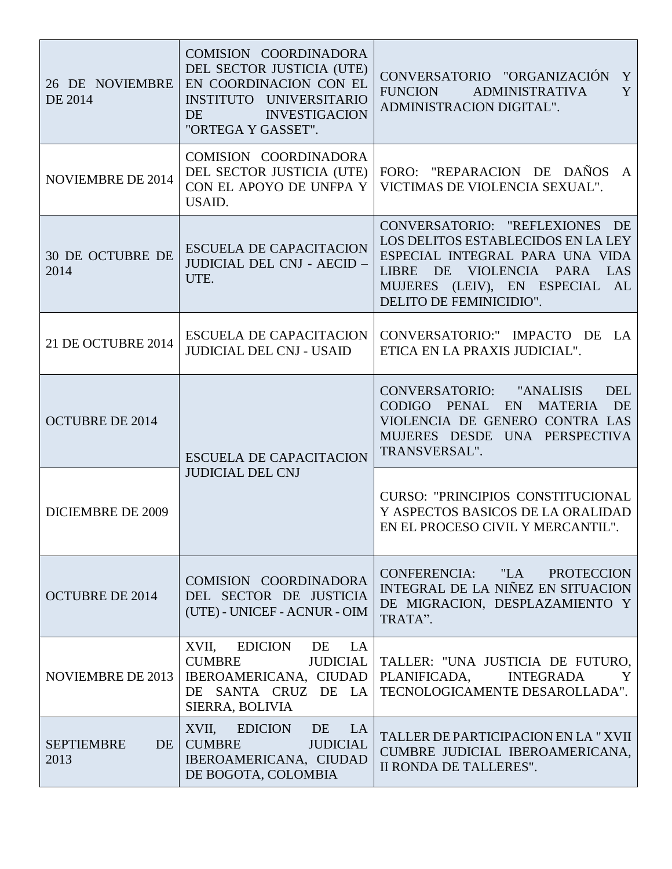| 26 DE NOVIEMBRE<br>DE 2014      | COMISION COORDINADORA<br>DEL SECTOR JUSTICIA (UTE)<br>EN COORDINACION CON EL<br>INSTITUTO UNIVERSITARIO<br><b>INVESTIGACION</b><br>DE.<br>"ORTEGA Y GASSET". | CONVERSATORIO "ORGANIZACIÓN<br>Y<br>FUNCION ADMINISTRATIVA<br>Y<br>ADMINISTRACION DIGITAL".                                                                                                         |
|---------------------------------|--------------------------------------------------------------------------------------------------------------------------------------------------------------|-----------------------------------------------------------------------------------------------------------------------------------------------------------------------------------------------------|
| <b>NOVIEMBRE DE 2014</b>        | COMISION COORDINADORA<br>DEL SECTOR JUSTICIA (UTE)<br>CON EL APOYO DE UNFPA Y<br>USAID.                                                                      | FORO: "REPARACION DE DAÑOS A<br>VICTIMAS DE VIOLENCIA SEXUAL".                                                                                                                                      |
| <b>30 DE OCTUBRE DE</b><br>2014 | <b>ESCUELA DE CAPACITACION</b><br>JUDICIAL DEL CNJ - AECID -<br>UTE.                                                                                         | CONVERSATORIO: "REFLEXIONES DE<br>LOS DELITOS ESTABLECIDOS EN LA LEY<br>ESPECIAL INTEGRAL PARA UNA VIDA<br>LIBRE DE VIOLENCIA PARA LAS<br>MUJERES (LEIV), EN ESPECIAL AL<br>DELITO DE FEMINICIDIO". |
| 21 DE OCTUBRE 2014              | <b>ESCUELA DE CAPACITACION</b><br><b>JUDICIAL DEL CNJ - USAID</b>                                                                                            | CONVERSATORIO:" IMPACTO DE LA<br>ETICA EN LA PRAXIS JUDICIAL".                                                                                                                                      |
| <b>OCTUBRE DE 2014</b>          | <b>ESCUELA DE CAPACITACION</b><br><b>JUDICIAL DEL CNJ</b>                                                                                                    | CONVERSATORIO: "ANALISIS<br><b>DEL</b><br>CODIGO PENAL EN<br><b>MATERIA</b><br>DE<br>VIOLENCIA DE GENERO CONTRA LAS<br>MUJERES DESDE UNA PERSPECTIVA<br>TRANSVERSAL".                               |
| <b>DICIEMBRE DE 2009</b>        |                                                                                                                                                              | <b>CURSO: "PRINCIPIOS CONSTITUCIONAL</b><br>Y ASPECTOS BASICOS DE LA ORALIDAD<br>EN EL PROCESO CIVIL Y MERCANTIL".                                                                                  |
| <b>OCTUBRE DE 2014</b>          | COMISION COORDINADORA<br>DEL SECTOR DE JUSTICIA<br>(UTE) - UNICEF - ACNUR - OIM                                                                              | CONFERENCIA: "LA PROTECCION<br>INTEGRAL DE LA NIÑEZ EN SITUACION<br>DE MIGRACION, DESPLAZAMIENTO Y<br>TRATA".                                                                                       |
| <b>NOVIEMBRE DE 2013</b>        | EDICION DE LA<br>XVII,<br><b>CUMBRE</b><br><b>JUDICIAL</b><br>IBEROAMERICANA, CIUDAD<br>DE SANTA CRUZ DE LA<br>SIERRA, BOLIVIA                               | TALLER: "UNA JUSTICIA DE FUTURO,<br>PLANIFICADA, INTEGRADA<br>Y<br>TECNOLOGICAMENTE DESAROLLADA".                                                                                                   |
| <b>SEPTIEMBRE</b><br>DE<br>2013 | XVII, EDICION DE LA<br><b>CUMBRE</b><br><b>JUDICIAL</b><br>IBEROAMERICANA, CIUDAD<br>DE BOGOTA, COLOMBIA                                                     | TALLER DE PARTICIPACION EN LA "XVII<br>CUMBRE JUDICIAL IBEROAMERICANA,<br>II RONDA DE TALLERES".                                                                                                    |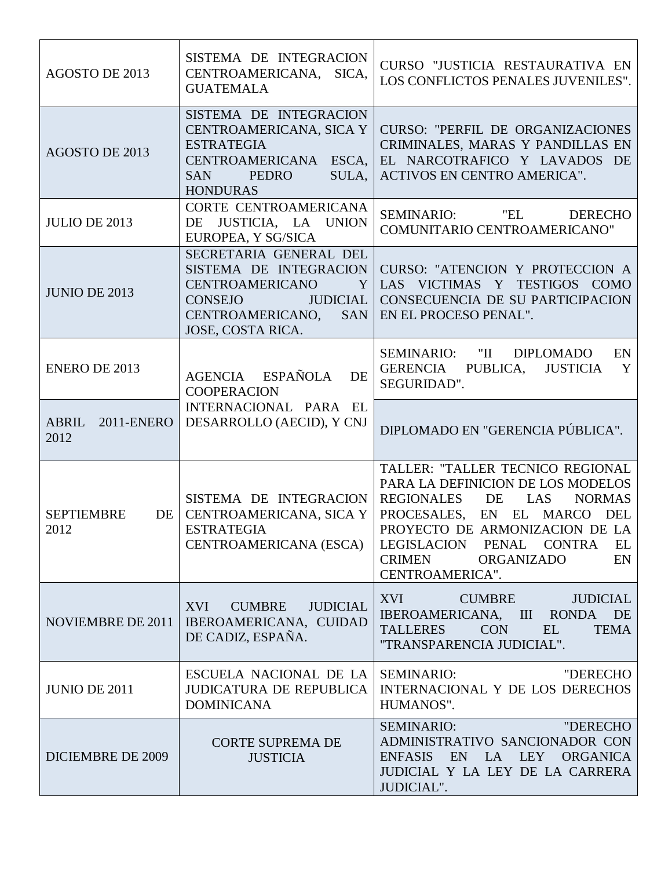| AGOSTO DE 2013                  | SISTEMA DE INTEGRACION<br>CENTROAMERICANA, SICA,<br><b>GUATEMALA</b>                                                                                                                     | CURSO "JUSTICIA RESTAURATIVA EN<br>LOS CONFLICTOS PENALES JUVENILES".                                                                                                                                                                                                                      |
|---------------------------------|------------------------------------------------------------------------------------------------------------------------------------------------------------------------------------------|--------------------------------------------------------------------------------------------------------------------------------------------------------------------------------------------------------------------------------------------------------------------------------------------|
| AGOSTO DE 2013                  | SISTEMA DE INTEGRACION<br>CENTROAMERICANA, SICA Y<br><b>ESTRATEGIA</b><br>CENTROAMERICANA ESCA.<br><b>SAN</b><br>PEDRO<br>SULA,<br><b>HONDURAS</b>                                       | <b>CURSO: "PERFIL DE ORGANIZACIONES"</b><br>CRIMINALES, MARAS Y PANDILLAS EN<br>EL NARCOTRAFICO Y LAVADOS DE<br><b>ACTIVOS EN CENTRO AMERICA".</b>                                                                                                                                         |
| <b>JULIO DE 2013</b>            | CORTE CENTROAMERICANA<br>DE JUSTICIA, LA UNION<br>EUROPEA, Y SG/SICA                                                                                                                     | SEMINARIO: "EL<br><b>DERECHO</b><br>COMUNITARIO CENTROAMERICANO"                                                                                                                                                                                                                           |
| <b>JUNIO DE 2013</b>            | SECRETARIA GENERAL DEL<br>SISTEMA DE INTEGRACION<br><b>CENTROAMERICANO</b><br>Y <sub>1</sub><br><b>JUDICIAL</b><br><b>CONSEJO</b><br>CENTROAMERICANO,<br><b>SAN</b><br>JOSE, COSTA RICA. | CURSO: "ATENCION Y PROTECCION A<br>LAS VICTIMAS Y TESTIGOS COMO<br>CONSECUENCIA DE SU PARTICIPACION<br>EN EL PROCESO PENAL".                                                                                                                                                               |
| <b>ENERO DE 2013</b>            | AGENCIA ESPAÑOLA<br>DE<br><b>COOPERACION</b>                                                                                                                                             | SEMINARIO: "II DIPLOMADO<br>EN<br>GERENCIA PUBLICA, JUSTICIA<br>Y<br>SEGURIDAD".                                                                                                                                                                                                           |
| ABRIL 2011-ENERO<br>2012        | INTERNACIONAL PARA EL<br>DESARROLLO (AECID), Y CNJ                                                                                                                                       | DIPLOMADO EN "GERENCIA PÚBLICA".                                                                                                                                                                                                                                                           |
| <b>SEPTIEMBRE</b><br>DE<br>2012 | SISTEMA DE INTEGRACION<br>CENTROAMERICANA, SICA Y<br><b>ESTRATEGIA</b><br>CENTROAMERICANA (ESCA)                                                                                         | TALLER: "TALLER TECNICO REGIONAL<br>PARA LA DEFINICION DE LOS MODELOS<br><b>REGIONALES</b><br>DE<br>LAS<br><b>NORMAS</b><br>PROCESALES, EN EL MARCO DEL<br>PROYECTO DE ARMONIZACION DE LA<br>LEGISLACION PENAL CONTRA<br>EL<br><b>CRIMEN</b><br><b>ORGANIZADO</b><br>EN<br>CENTROAMERICA". |
| NOVIEMBRE DE 2011               | XVI<br><b>CUMBRE</b><br><b>JUDICIAL</b><br>IBEROAMERICANA, CUIDAD<br>DE CADIZ, ESPAÑA.                                                                                                   | XVI<br><b>CUMBRE</b><br><b>JUDICIAL</b><br>IBEROAMERICANA, III<br>DE<br><b>RONDA</b><br><b>TALLERES</b><br><b>CON</b><br>EL<br>TEMA<br>"TRANSPARENCIA JUDICIAL".                                                                                                                           |
| <b>JUNIO DE 2011</b>            | ESCUELA NACIONAL DE LA  <br><b>JUDICATURA DE REPUBLICA</b><br><b>DOMINICANA</b>                                                                                                          | <b>SEMINARIO:</b><br>"DERECHO<br>INTERNACIONAL Y DE LOS DERECHOS<br>HUMANOS".                                                                                                                                                                                                              |
| <b>DICIEMBRE DE 2009</b>        | <b>CORTE SUPREMA DE</b><br><b>JUSTICIA</b>                                                                                                                                               | <b>SEMINARIO:</b><br>"DERECHO<br>ADMINISTRATIVO SANCIONADOR CON<br>EN LA LEY<br><b>ENFASIS</b><br>ORGANICA<br>JUDICIAL Y LA LEY DE LA CARRERA<br>JUDICIAL".                                                                                                                                |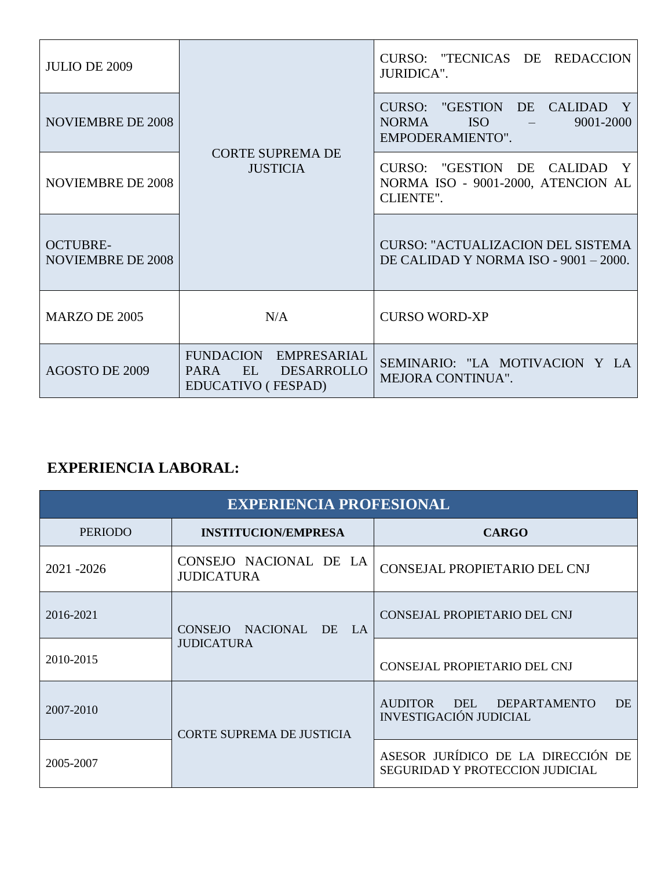| <b>JULIO DE 2009</b>                        | <b>CORTE SUPREMA DE</b><br><b>JUSTICIA</b>                                            | CURSO: "TECNICAS DE REDACCION<br>JURIDICA".                                               |
|---------------------------------------------|---------------------------------------------------------------------------------------|-------------------------------------------------------------------------------------------|
| <b>NOVIEMBRE DE 2008</b>                    |                                                                                       | CURSO: "GESTION DE CALIDAD<br><b>ISO</b><br><b>NORMA</b><br>9001-2000<br>EMPODERAMIENTO". |
| <b>NOVIEMBRE DE 2008</b>                    |                                                                                       | CURSO: "GESTION DE CALIDAD Y<br>NORMA ISO - 9001-2000, ATENCION AL<br>CLIENTE".           |
| <b>OCTUBRE-</b><br><b>NOVIEMBRE DE 2008</b> |                                                                                       | <b>CURSO: "ACTUALIZACION DEL SISTEMA</b><br>DE CALIDAD Y NORMA ISO - 9001 - 2000.         |
| <b>MARZO DE 2005</b>                        | N/A                                                                                   | <b>CURSO WORD-XP</b>                                                                      |
| <b>AGOSTO DE 2009</b>                       | FUNDACION EMPRESARIAL<br>EL<br><b>DESARROLLO</b><br><b>PARA</b><br>EDUCATIVO (FESPAD) | SEMINARIO: "LA MOTIVACION Y LA<br><b>MEJORA CONTINUA".</b>                                |

## **EXPERIENCIA LABORAL:**

| <b>EXPERIENCIA PROFESIONAL</b> |                                                                                     |                                                                       |
|--------------------------------|-------------------------------------------------------------------------------------|-----------------------------------------------------------------------|
| <b>PERIODO</b>                 | <b>INSTITUCION/EMPRESA</b>                                                          | <b>CARGO</b>                                                          |
| 2021 - 2026                    | CONSEJO NACIONAL DE LA<br><b>JUDICATURA</b>                                         | CONSEJAL PROPIETARIO DEL CNJ                                          |
| 2016-2021                      | NACIONAL DE<br><b>CONSEJO</b><br>$\mathbf{I} \cdot \mathbf{A}$<br><b>JUDICATURA</b> | CONSEJAL PROPIETARIO DEL CNJ                                          |
| 2010-2015                      |                                                                                     | CONSEJAL PROPIETARIO DEL CNJ                                          |
| 2007-2010                      | <b>CORTE SUPREMA DE JUSTICIA</b>                                                    | AUDITOR DEL DEPARTAMENTO<br>DE.<br><b>INVESTIGACIÓN JUDICIAL</b>      |
| 2005-2007                      |                                                                                     | ASESOR JURÍDICO DE LA DIRECCIÓN DE<br>SEGURIDAD Y PROTECCION JUDICIAL |